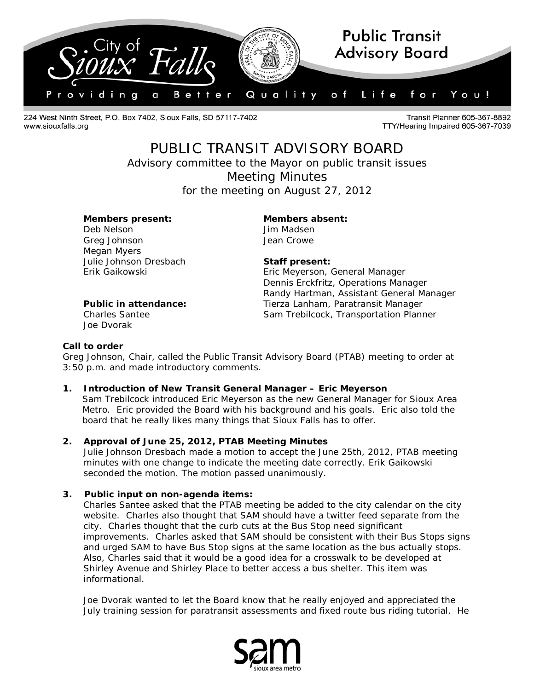

224 West Ninth Street, P.O. Box 7402, Sioux Falls, SD 57117-7402 www.siouxfalls.org

Transit Planner 605-367-8892 TTY/Hearing Impaired 605-367-7039

# PUBLIC TRANSIT ADVISORY BOARD

*Advisory committee to the Mayor on public transit issues* Meeting Minutes

for the meeting on August 27, 2012

# **Members present: Members absent:**

Deb Nelson Jim Madsen Greg Johnson **Greg Johnson** Jean Crowe Megan Myers Julie Johnson Dresbach **Staff present:**

Erik Gaikowski Eric Meyerson, General Manager Dennis Erckfritz, Operations Manager Randy Hartman, Assistant General Manager **Public in attendance:** Tierza Lanham, Paratransit Manager Charles Santee Sam Trebilcock, Transportation Planner

Joe Dvorak

### **Call to order**

Greg Johnson, Chair, called the Public Transit Advisory Board (PTAB) meeting to order at 3:50 p.m. and made introductory comments.

# **1. Introduction of New Transit General Manager – Eric Meyerson**

Sam Trebilcock introduced Eric Meyerson as the new General Manager for Sioux Area Metro. Eric provided the Board with his background and his goals. Eric also told the board that he really likes many things that Sioux Falls has to offer.

# **2. Approval of June 25, 2012, PTAB Meeting Minutes**

Julie Johnson Dresbach made a motion to accept the June 25th, 2012, PTAB meeting minutes with one change to indicate the meeting date correctly. Erik Gaikowski seconded the motion. The motion passed unanimously.

# **3. Public input on non-agenda items:**

Charles Santee asked that the PTAB meeting be added to the city calendar on the city website. Charles also thought that SAM should have a twitter feed separate from the city. Charles thought that the curb cuts at the Bus Stop need significant improvements. Charles asked that SAM should be consistent with their Bus Stops signs and urged SAM to have Bus Stop signs at the same location as the bus actually stops. Also, Charles said that it would be a good idea for a crosswalk to be developed at Shirley Avenue and Shirley Place to better access a bus shelter. This item was informational.

Joe Dvorak wanted to let the Board know that he really enjoyed and appreciated the July training session for paratransit assessments and fixed route bus riding tutorial. He